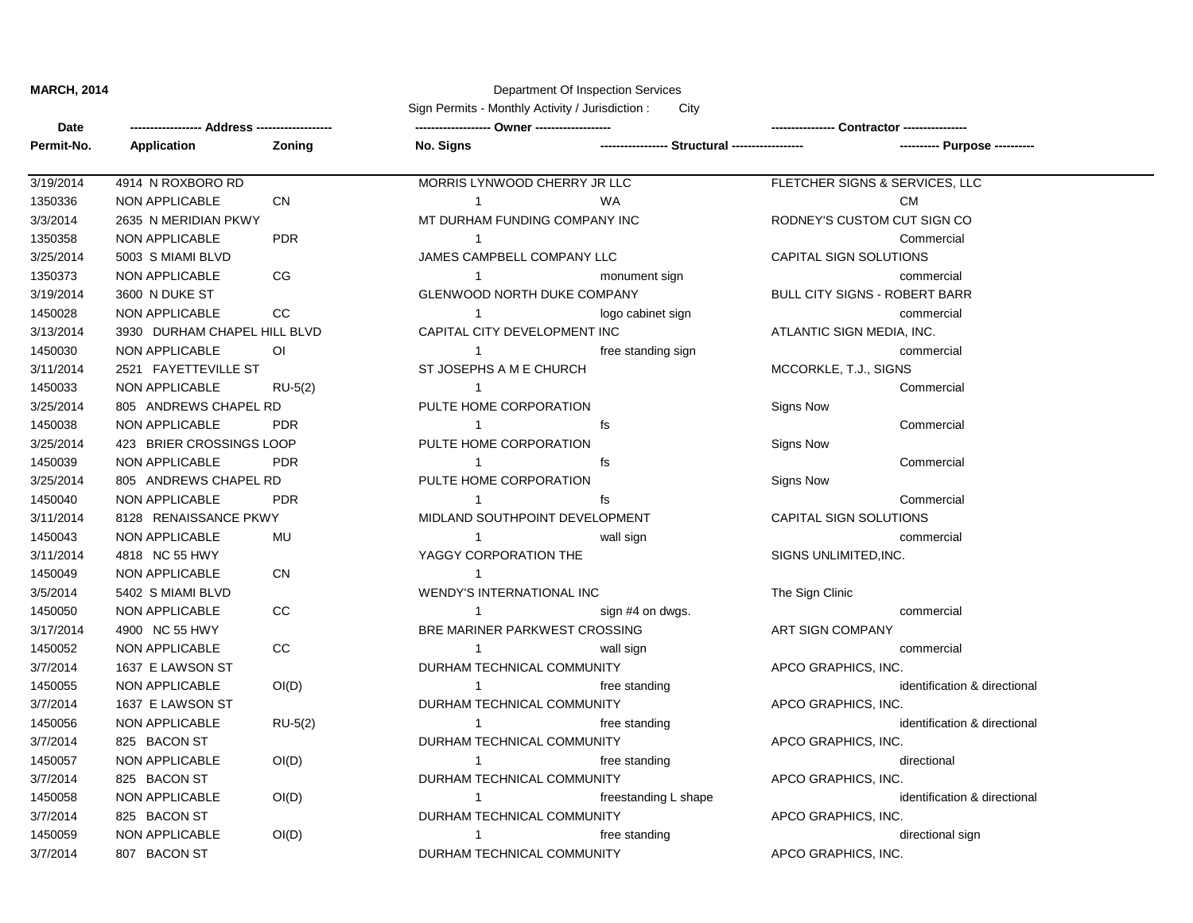**Date**

## **MARCH, 2014** Department Of Inspection Services

**------------------ Address ------------------- ------------------- Owner ------------------- ---------------- Contractor ----------------** Sign Permits - Monthly Activity / Jurisdiction : City

| Permit-No. | Application                  | Zoning         | No. Signs                            |                      |                                |                             |  |
|------------|------------------------------|----------------|--------------------------------------|----------------------|--------------------------------|-----------------------------|--|
| 3/19/2014  | 4914 N ROXBORO RD            |                | MORRIS LYNWOOD CHERRY JR LLC         |                      | FLETCHER SIGNS & SERVICES, LLC |                             |  |
| 1350336    | <b>NON APPLICABLE</b>        | <b>CN</b>      | -1                                   | <b>WA</b>            |                                | <b>CM</b>                   |  |
| 3/3/2014   | 2635 N MERIDIAN PKWY         |                | MT DURHAM FUNDING COMPANY INC        |                      | RODNEY'S CUSTOM CUT SIGN CO    |                             |  |
| 1350358    | <b>NON APPLICABLE</b>        | <b>PDR</b>     | $\mathbf{1}$                         |                      |                                | Commercial                  |  |
| 3/25/2014  | 5003 S MIAMI BLVD            |                | JAMES CAMPBELL COMPANY LLC           |                      | CAPITAL SIGN SOLUTIONS         |                             |  |
| 1350373    | <b>NON APPLICABLE</b>        | CG             | $\mathbf{1}$                         | monument sign        |                                | commercial                  |  |
| 3/19/2014  | 3600 N DUKE ST               |                | GLENWOOD NORTH DUKE COMPANY          |                      | BULL CITY SIGNS - ROBERT BARR  |                             |  |
| 1450028    | <b>NON APPLICABLE</b>        | CC             | $\mathbf{1}$                         | logo cabinet sign    |                                | commercial                  |  |
| 3/13/2014  | 3930 DURHAM CHAPEL HILL BLVD |                | CAPITAL CITY DEVELOPMENT INC         |                      | ATLANTIC SIGN MEDIA, INC.      |                             |  |
| 1450030    | NON APPLICABLE               | O <sub>l</sub> | $\mathbf{1}$                         | free standing sign   |                                | commercial                  |  |
| 3/11/2014  | 2521 FAYETTEVILLE ST         |                | ST JOSEPHS A M E CHURCH              |                      | MCCORKLE, T.J., SIGNS          |                             |  |
| 1450033    | <b>NON APPLICABLE</b>        | $RU-5(2)$      | $\mathbf{1}$                         |                      |                                | Commercial                  |  |
| 3/25/2014  | 805 ANDREWS CHAPEL RD        |                | PULTE HOME CORPORATION               |                      | Signs Now                      |                             |  |
| 1450038    | NON APPLICABLE               | <b>PDR</b>     | $\mathbf{1}$                         | fs                   |                                | Commercial                  |  |
| 3/25/2014  | 423 BRIER CROSSINGS LOOP     |                | PULTE HOME CORPORATION               |                      | <b>Signs Now</b>               |                             |  |
| 1450039    | <b>NON APPLICABLE</b>        | <b>PDR</b>     | $\mathbf{1}$                         | fs                   |                                | Commercial                  |  |
| 3/25/2014  | 805 ANDREWS CHAPEL RD        |                | PULTE HOME CORPORATION               |                      | <b>Signs Now</b>               |                             |  |
| 1450040    | <b>NON APPLICABLE</b>        | <b>PDR</b>     | $\mathbf{1}$                         | fs                   |                                | Commercial                  |  |
| 3/11/2014  | 8128 RENAISSANCE PKWY        |                | MIDLAND SOUTHPOINT DEVELOPMENT       |                      | CAPITAL SIGN SOLUTIONS         |                             |  |
| 1450043    | <b>NON APPLICABLE</b>        | MU             | $\mathbf{1}$                         | wall sign            |                                | commercial                  |  |
| 3/11/2014  | 4818 NC 55 HWY               |                | YAGGY CORPORATION THE                |                      | SIGNS UNLIMITED, INC.          |                             |  |
| 1450049    | NON APPLICABLE               | <b>CN</b>      | $\mathbf{1}$                         |                      |                                |                             |  |
| 3/5/2014   | 5402 S MIAMI BLVD            |                | WENDY'S INTERNATIONAL INC            |                      | The Sign Clinic                |                             |  |
| 1450050    | NON APPLICABLE               | CC             | $\mathbf{1}$                         | sign #4 on dwgs.     |                                | commercial                  |  |
| 3/17/2014  | 4900 NC 55 HWY               |                | <b>BRE MARINER PARKWEST CROSSING</b> |                      | ART SIGN COMPANY               |                             |  |
| 1450052    | <b>NON APPLICABLE</b>        | CC             | $\mathbf{1}$                         | wall sign            |                                | commercial                  |  |
| 3/7/2014   | 1637 E LAWSON ST             |                | DURHAM TECHNICAL COMMUNITY           |                      | APCO GRAPHICS, INC.            |                             |  |
| 1450055    | <b>NON APPLICABLE</b>        | OI(D)          | $\mathbf{1}$                         | free standing        |                                | identification & directiona |  |
| 3/7/2014   | 1637 E LAWSON ST             |                | DURHAM TECHNICAL COMMUNITY           |                      | APCO GRAPHICS, INC.            |                             |  |
| 1450056    | <b>NON APPLICABLE</b>        | $RU-5(2)$      | $\mathbf{1}$                         | free standing        |                                | identification & directiona |  |
| 3/7/2014   | 825 BACON ST                 |                | DURHAM TECHNICAL COMMUNITY           |                      | APCO GRAPHICS, INC.            |                             |  |
| 1450057    | <b>NON APPLICABLE</b>        | OI(D)          | $\overline{1}$                       | free standing        |                                | directional                 |  |
| 3/7/2014   | 825 BACON ST                 |                | DURHAM TECHNICAL COMMUNITY           |                      | APCO GRAPHICS, INC.            |                             |  |
| 1450058    | <b>NON APPLICABLE</b>        | OI(D)          | $\mathbf{1}$                         | freestanding L shape |                                | identification & directiona |  |
| 3/7/2014   | 825 BACON ST                 |                | DURHAM TECHNICAL COMMUNITY           |                      | APCO GRAPHICS, INC.            |                             |  |
| 1450059    | NON APPLICABLE               | OI(D)          |                                      | free standing        |                                | directional sign            |  |
| 3/7/2014   | 807 BACON ST                 |                | DURHAM TECHNICAL COMMUNITY           |                      | APCO GRAPHICS, INC.            |                             |  |